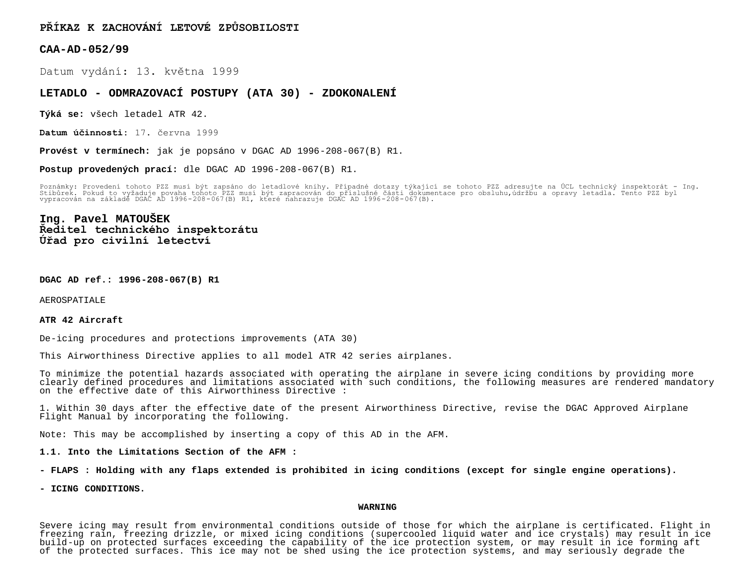**PŘÍKAZ K ZACHOVÁNÍ LETOVÉ ZPŮSOBILOSTI**

**CAA-AD-052/99**

Datum vydání: 13. května 1999

## **LETADLO - ODMRAZOVACÍ POSTUPY (ATA 30) - ZDOKONALENÍ**

**Týká se:** všech letadel ATR 42.

**Datum účinnosti:** 17. června 1999

**Provést v termínech:** jak je popsáno v DGAC AD 1996-208-067(B) R1.

**Postup provedených prací:** dle DGAC AD 1996-208-067(B) R1.

Poznámky: Provedení tohoto PZZ musí být zapsáno do letadlové knihy. Případné dotazy týkající se tohoto PZZ adresujte na UCL technický inspektorát – Ing.<br>Stibůrek. Pokud to vyžaduje povaha tohoto PZZ musí být zapracován do

# **Ing. Pavel MATOUŠEK Ředitel technického inspektorátu Úřad pro civilní letectví**

**DGAC AD ref.: 1996-208-067(B) R1**

AEROSPATIALE

#### **ATR 42 Aircraft**

De-icing procedures and protections improvements (ATA 30)

This Airworthiness Directive applies to all model ATR 42 series airplanes.

To minimize the potential hazards associated with operating the airplane in severe icing conditions by providing more clearly defined procedures and limitations associated with such conditions, the following measures are rendered mandatory on the effective date of this Airworthiness Directive :

1. Within 30 days after the effective date of the present Airworthiness Directive, revise the DGAC Approved Airplane Flight Manual by incorporating the following.

Note: This may be accomplished by inserting a copy of this AD in the AFM.

### **1.1. Into the Limitations Section of the AFM :**

**- FLAPS : Holding with any flaps extended is prohibited in icing conditions (except for single engine operations).**

**- ICING CONDITIONS.**

#### **WARNING**

Severe icing may result from environmental conditions outside of those for which the airplane is certificated. Flight in freezing rain, freezing drizzle, or mixed icing conditions (supercooled liquid water and ice crystals) may result in ice build-up on protected surfaces exceeding the capability of the ice protection system, or may result in ice forming aft of the protected surfaces. This ice may not be shed using the ice protection systems, and may seriously degrade the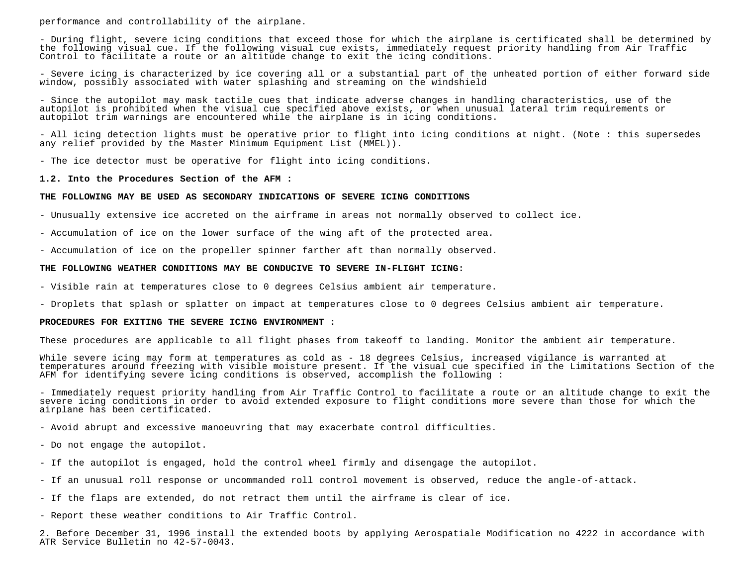performance and controllability of the airplane.

- During flight, severe icing conditions that exceed those for which the airplane is certificated shall be determined by the following visual cue. If the following visual cue exists, immediately request priority handling from Air Traffic Control to facilitate a route or an altitude change to exit the icing conditions.

- Severe icing is characterized by ice covering all or a substantial part of the unheated portion of either forward side window, possibly associated with water splashing and streaming on the windshield

- Since the autopilot may mask tactile cues that indicate adverse changes in handling characteristics, use of the autopilot is prohibited when the visual cue specified above exists, or when unusual lateral trim requirements or autopilot trim warnings are encountered while the airplane is in icing conditions.

- All icing detection lights must be operative prior to flight into icing conditions at night. (Note : this supersedes any relief provided by the Master Minimum Equipment List (MMEL)).

- The ice detector must be operative for flight into icing conditions.

#### **1.2. Into the Procedures Section of the AFM :**

#### **THE FOLLOWING MAY BE USED AS SECONDARY INDICATIONS OF SEVERE ICING CONDITIONS**

- Unusually extensive ice accreted on the airframe in areas not normally observed to collect ice.

- Accumulation of ice on the lower surface of the wing aft of the protected area.

- Accumulation of ice on the propeller spinner farther aft than normally observed.

## **THE FOLLOWING WEATHER CONDITIONS MAY BE CONDUCIVE TO SEVERE IN-FLIGHT ICING:**

- Visible rain at temperatures close to 0 degrees Celsius ambient air temperature.

- Droplets that splash or splatter on impact at temperatures close to 0 degrees Celsius ambient air temperature.

## **PROCEDURES FOR EXITING THE SEVERE ICING ENVIRONMENT :**

These procedures are applicable to all flight phases from takeoff to landing. Monitor the ambient air temperature.

While severe icing may form at temperatures as cold as - 18 degrees Celsius, increased vigilance is warranted at temperatures around freezing with visible moisture present. If the visual cue specified in the Limitations Section of the AFM for identifying severe icing conditions is observed, accomplish the following :

- Immediately request priority handling from Air Traffic Control to facilitate a route or an altitude change to exit the severe icing conditions in order to avoid extended exposure to flight conditions more severe than those for which the airplane has been certificated.

- Avoid abrupt and excessive manoeuvring that may exacerbate control difficulties.

- Do not engage the autopilot.

- If the autopilot is engaged, hold the control wheel firmly and disengage the autopilot.
- If an unusual roll response or uncommanded roll control movement is observed, reduce the angle-of-attack.
- If the flaps are extended, do not retract them until the airframe is clear of ice.
- Report these weather conditions to Air Traffic Control.

2. Before December 31, 1996 install the extended boots by applying Aerospatiale Modification no 4222 in accordance with ATR Service Bulletin no 42-57-0043.